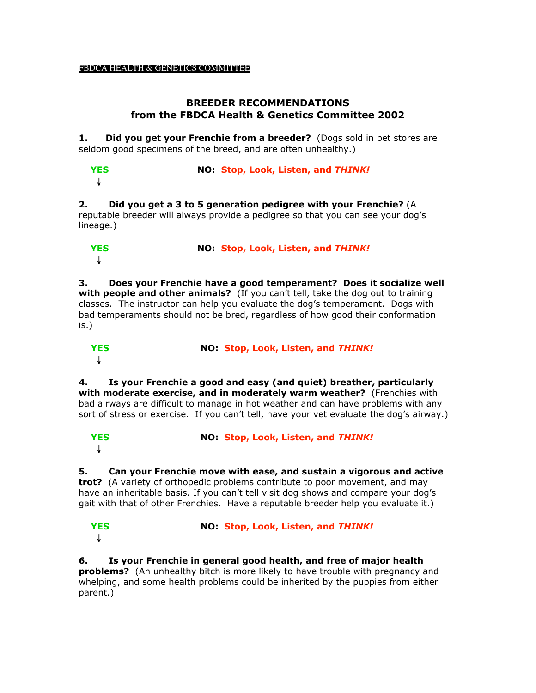## **BREEDER RECOMMENDATIONS from the FBDCA Health & Genetics Committee 2002**

**1.** Did you get your Frenchie from a breeder? (Dogs sold in pet stores are seldom good specimens of the breed, and are often unhealthy.)

 **YES NO: Stop, Look, Listen, and** *THINK!* ↓

**2. Did you get a 3 to 5 generation pedigree with your Frenchie?** (A reputable breeder will always provide a pedigree so that you can see your dog's lineage.)

| <b>YES</b> | NO: Stop, Look, Listen, and THINK! |
|------------|------------------------------------|
| J.         |                                    |

**3. Does your Frenchie have a good temperament? Does it socialize well with people and other animals?** (If you can't tell, take the dog out to training classes. The instructor can help you evaluate the dog's temperament. Dogs with bad temperaments should not be bred, regardless of how good their conformation is.)

 **YES NO: Stop, Look, Listen, and** *THINK!* ↓

**4. Is your Frenchie a good and easy (and quiet) breather, particularly with moderate exercise, and in moderately warm weather?** (Frenchies with bad airways are difficult to manage in hot weather and can have problems with any sort of stress or exercise. If you can't tell, have your vet evaluate the dog's airway.)

```
 YES NO: Stop, Look, Listen, and THINK!
↓
```
**5. Can your Frenchie move with ease, and sustain a vigorous and active trot?** (A variety of orthopedic problems contribute to poor movement, and may have an inheritable basis. If you can't tell visit dog shows and compare your dog's gait with that of other Frenchies. Have a reputable breeder help you evaluate it.)

 **YES NO: Stop, Look, Listen, and** *THINK!* ↓

**6. Is your Frenchie in general good health, and free of major health problems?** (An unhealthy bitch is more likely to have trouble with pregnancy and whelping, and some health problems could be inherited by the puppies from either parent.)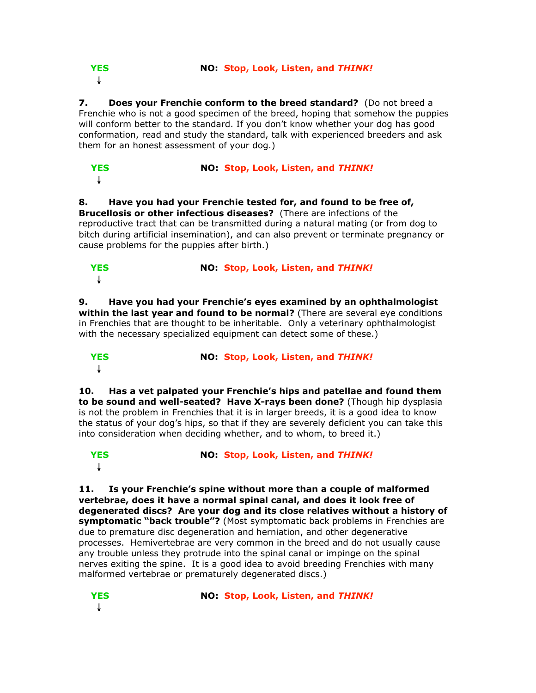**YES NO: Stop, Look, Listen, and** *THINK!*

↓

**7.** Does your Frenchie conform to the breed standard? (Do not breed a Frenchie who is not a good specimen of the breed, hoping that somehow the puppies will conform better to the standard. If you don't know whether your dog has good conformation, read and study the standard, talk with experienced breeders and ask them for an honest assessment of your dog.)

| <b>YES</b> | NO: Stop, Look, Listen, and THINK! |
|------------|------------------------------------|
|            |                                    |

**8. Have you had your Frenchie tested for, and found to be free of, Brucellosis or other infectious diseases?** (There are infections of the reproductive tract that can be transmitted during a natural mating (or from dog to bitch during artificial insemination), and can also prevent or terminate pregnancy or cause problems for the puppies after birth.)

| <b>YES</b> | NO: Stop, Look, Listen, and THINK! |
|------------|------------------------------------|
|            |                                    |

**9. Have you had your Frenchie's eyes examined by an ophthalmologist within the last year and found to be normal?** (There are several eye conditions in Frenchies that are thought to be inheritable. Only a veterinary ophthalmologist with the necessary specialized equipment can detect some of these.)

 **YES NO: Stop, Look, Listen, and** *THINK!* ↓

**10. Has a vet palpated your Frenchie's hips and patellae and found them to be sound and well-seated? Have X-rays been done?** (Though hip dysplasia is not the problem in Frenchies that it is in larger breeds, it is a good idea to know the status of your dog's hips, so that if they are severely deficient you can take this into consideration when deciding whether, and to whom, to breed it.)

 **YES NO: Stop, Look, Listen, and** *THINK!* ↓

**11. Is your Frenchie's spine without more than a couple of malformed vertebrae, does it have a normal spinal canal, and does it look free of degenerated discs? Are your dog and its close relatives without a history of symptomatic "back trouble"?** (Most symptomatic back problems in Frenchies are due to premature disc degeneration and herniation, and other degenerative processes. Hemivertebrae are very common in the breed and do not usually cause any trouble unless they protrude into the spinal canal or impinge on the spinal nerves exiting the spine. It is a good idea to avoid breeding Frenchies with many malformed vertebrae or prematurely degenerated discs.)

↓

**YES NO: Stop, Look, Listen, and** *THINK!*